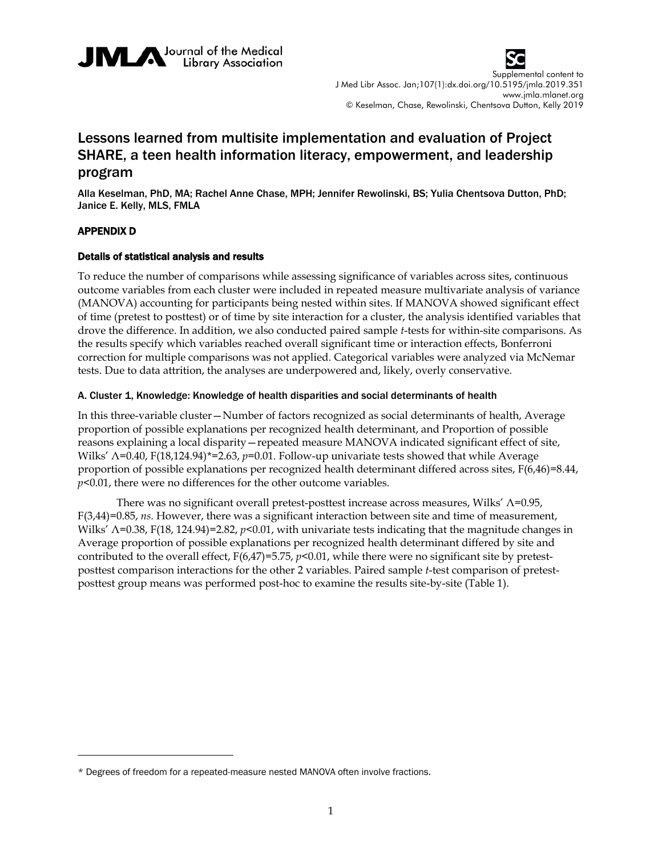



J Med Libr Assoc. Jan;107(1):dx.doi.org/10.5195/jmla.2019.351 www.jmla.mlanet.org © Keselman, Chase, Rewolinski, Chentsova Dutton, Kelly 2019

# Lessons learned from multisite implementation and evaluation of Project SHARE, a teen health information literacy, empowerment, and leadership program

Alla Keselman, PhD, MA; Rachel Anne Chase, MPH; Jennifer Rewolinski, BS; Yulia Chentsova Dutton, PhD; Janice E. Kelly, MLS, FMLA

## APPENDIX D

 $\overline{a}$ 

## Details of statistical analysis and results

To reduce the number of comparisons while assessing significance of variables across sites, continuous outcome variables from each cluster were included in repeated measure multivariate analysis of variance (MANOVA) accounting for participants being nested within sites. If MANOVA showed significant effect of time (pretest to posttest) or of time by site interaction for a cluster, the analysis identified variables that drove the difference. In addition, we also conducted paired sample *t*-tests for within-site comparisons. As the results specify which variables reached overall significant time or interaction effects, Bonferroni correction for multiple comparisons was not applied. Categorical variables were analyzed via McNemar tests. Due to data attrition, the analyses are underpowered and, likely, overly conservative.

## A. Cluster 1, Knowledge: Knowledge of health disparities and social determinants of health

In this three-variable cluster—Number of factors recognized as social determinants of health, Average proportion of possible explanations per recognized health determinant, and Proportion of possible reasons explaining a local disparity—repeated measure MANOVA indicated significant effect of site, Wilks' Λ=0.40, F(18,124.94)[\\*=](#page-0-0)2.63, *p*=0.01. Follow-up univariate tests showed that while Average proportion of possible explanations per recognized health determinant differed across sites, F(6,46)=8.44, *p*<0.01, there were no differences for the other outcome variables.

There was no significant overall pretest-posttest increase across measures, Wilks' Λ=0.95, F(3,44)=0.85, *ns.* However, there was a significant interaction between site and time of measurement, Wilks' Λ=0.38, F(18, 124.94)=2.82, *p*<0.01, with univariate tests indicating that the magnitude changes in Average proportion of possible explanations per recognized health determinant differed by site and contributed to the overall effect, F(6,47)=5.75, *p*<0.01, while there were no significant site by pretestposttest comparison interactions for the other 2 variables. Paired sample *t*-test comparison of pretestposttest group means was performed post-hoc to examine the results site-by-site (Table 1).

<span id="page-0-0"></span><sup>\*</sup> Degrees of freedom for a repeated-measure nested MANOVA often involve fractions.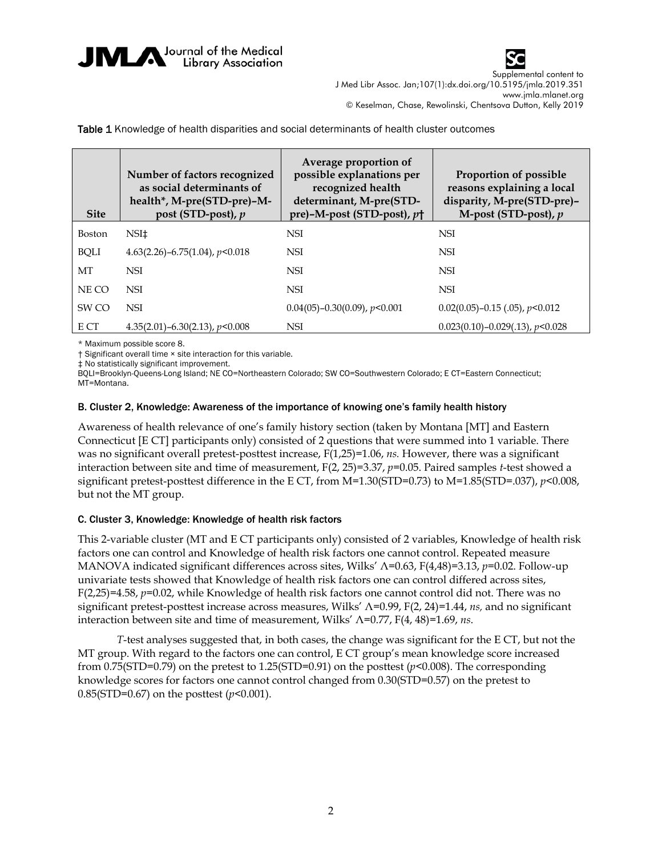



J Med Libr Assoc. Jan;107(1):dx.doi.org/10.5195/jmla.2019.351 www.jmla.mlanet.org © Keselman, Chase, Rewolinski, Chentsova Dutton, Kelly 2019

Table 1 Knowledge of health disparities and social determinants of health cluster outcomes

| <b>Site</b>      | Number of factors recognized<br>as social determinants of<br>health*, M-pre(STD-pre)-M-<br>post (STD-post), p | Average proportion of<br>possible explanations per<br>recognized health<br>determinant, M-pre(STD-<br>pre)-M-post (STD-post), $p\uparrow$ | Proportion of possible<br>reasons explaining a local<br>disparity, M-pre(STD-pre)-<br>M-post (STD-post), $p$ |
|------------------|---------------------------------------------------------------------------------------------------------------|-------------------------------------------------------------------------------------------------------------------------------------------|--------------------------------------------------------------------------------------------------------------|
| <b>Boston</b>    | NSI‡                                                                                                          | <b>NSI</b>                                                                                                                                | <b>NSI</b>                                                                                                   |
| <b>BQLI</b>      | $4.63(2.26) - 6.75(1.04)$ , $p < 0.018$                                                                       | <b>NSI</b>                                                                                                                                | <b>NSI</b>                                                                                                   |
| MT               | <b>NSI</b>                                                                                                    | <b>NSI</b>                                                                                                                                | <b>NSI</b>                                                                                                   |
| NE CO            | <b>NSI</b>                                                                                                    | <b>NSI</b>                                                                                                                                | <b>NSI</b>                                                                                                   |
| SW <sub>CO</sub> | <b>NSI</b>                                                                                                    | $0.04(05) - 0.30(0.09)$ , $p < 0.001$                                                                                                     | $0.02(0.05) - 0.15$ (.05), $p < 0.012$                                                                       |
| E CT             | $4.35(2.01) - 6.30(2.13)$ , $p < 0.008$                                                                       | <b>NSI</b>                                                                                                                                | $0.023(0.10) - 0.029(.13), p < 0.028$                                                                        |

\* Maximum possible score 8.

† Significant overall time × site interaction for this variable.

‡ No statistically significant improvement.

BQLI=Brooklyn-Queens-Long Island; NE CO=Northeastern Colorado; SW CO=Southwestern Colorado; E CT=Eastern Connecticut; MT=Montana.

## B. Cluster 2, Knowledge: Awareness of the importance of knowing one's family health history

Awareness of health relevance of one's family history section (taken by Montana [MT] and Eastern Connecticut [E CT] participants only) consisted of 2 questions that were summed into 1 variable. There was no significant overall pretest-posttest increase,  $F(1,25)=1.06$ , *ns.* However, there was a significant interaction between site and time of measurement, F(2, 25)=3.37, *p*=0.05. Paired samples *t*-test showed a significant pretest-posttest difference in the E CT, from M=1.30(STD=0.73) to M=1.85(STD=.037), *p*<0.008, but not the MT group.

## C. Cluster 3, Knowledge: Knowledge of health risk factors

This 2-variable cluster (MT and E CT participants only) consisted of 2 variables, Knowledge of health risk factors one can control and Knowledge of health risk factors one cannot control. Repeated measure MANOVA indicated significant differences across sites, Wilks' Λ=0.63, F(4,48)=3.13, *p*=0.02. Follow-up univariate tests showed that Knowledge of health risk factors one can control differed across sites, F(2,25)=4.58, *p*=0.02, while Knowledge of health risk factors one cannot control did not. There was no significant pretest-posttest increase across measures, Wilks' Λ=0.99, F(2, 24)=1.44, *ns,* and no significant interaction between site and time of measurement, Wilks' Λ=0.77, F(4, 48)=1.69, *ns*.

*T*-test analyses suggested that, in both cases, the change was significant for the E CT, but not the MT group. With regard to the factors one can control, E CT group's mean knowledge score increased from 0.75(STD=0.79) on the pretest to 1.25(STD=0.91) on the posttest (*p*<0.008). The corresponding knowledge scores for factors one cannot control changed from 0.30(STD=0.57) on the pretest to 0.85(STD=0.67) on the posttest  $(p<0.001)$ .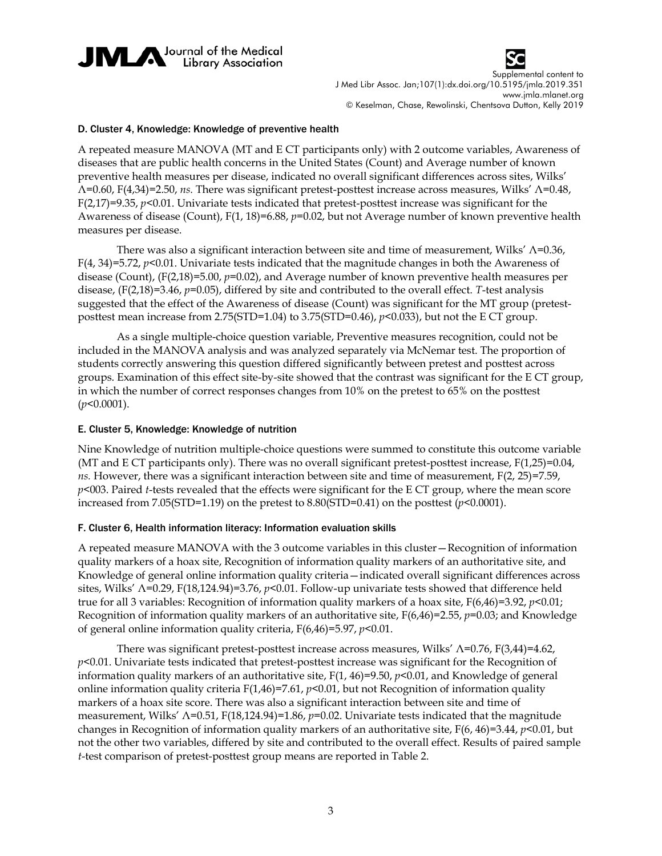



Supplemental content to J Med Libr Assoc. Jan;107(1):dx.doi.org/10.5195/jmla.2019.351 www.jmla.mlanet.org © Keselman, Chase, Rewolinski, Chentsova Dutton, Kelly 2019

## D. Cluster 4, Knowledge: Knowledge of preventive health

A repeated measure MANOVA (MT and E CT participants only) with 2 outcome variables, Awareness of diseases that are public health concerns in the United States (Count) and Average number of known preventive health measures per disease, indicated no overall significant differences across sites, Wilks' Λ=0.60, F(4,34)=2.50, *ns.* There was significant pretest-posttest increase across measures, Wilks' Λ=0.48, F(2,17)=9.35, *p*<0.01. Univariate tests indicated that pretest-posttest increase was significant for the Awareness of disease (Count), F(1, 18)=6.88, *p*=0.02, but not Average number of known preventive health measures per disease.

There was also a significant interaction between site and time of measurement, Wilks' Λ=0.36, F(4, 34)=5.72, *p*<0.01. Univariate tests indicated that the magnitude changes in both the Awareness of disease (Count), (F(2,18)=5.00, *p*=0.02), and Average number of known preventive health measures per disease, (F(2,18)=3.46, *p*=0.05), differed by site and contributed to the overall effect. *T*-test analysis suggested that the effect of the Awareness of disease (Count) was significant for the MT group (pretestposttest mean increase from 2.75(STD=1.04) to 3.75(STD=0.46),  $p$ <0.033), but not the E CT group.

As a single multiple-choice question variable, Preventive measures recognition, could not be included in the MANOVA analysis and was analyzed separately via McNemar test. The proportion of students correctly answering this question differed significantly between pretest and posttest across groups. Examination of this effect site-by-site showed that the contrast was significant for the E CT group, in which the number of correct responses changes from 10% on the pretest to 65% on the posttest (*p*<0.0001).

#### E. Cluster 5, Knowledge: Knowledge of nutrition

Nine Knowledge of nutrition multiple-choice questions were summed to constitute this outcome variable (MT and E CT participants only). There was no overall significant pretest-posttest increase, F(1,25)=0.04, *ns.* However, there was a significant interaction between site and time of measurement, F(2, 25)=7.59, *p*<003. Paired *t*-tests revealed that the effects were significant for the E CT group, where the mean score increased from 7.05(STD=1.19) on the pretest to 8.80(STD=0.41) on the posttest (*p*<0.0001).

## F. Cluster 6, Health information literacy: Information evaluation skills

A repeated measure MANOVA with the 3 outcome variables in this cluster—Recognition of information quality markers of a hoax site, Recognition of information quality markers of an authoritative site, and Knowledge of general online information quality criteria—indicated overall significant differences across sites, Wilks' Λ=0.29, F(18,124.94)=3.76, *p*<0.01. Follow-up univariate tests showed that difference held true for all 3 variables: Recognition of information quality markers of a hoax site,  $F(6,46)=3.92$ ,  $p<0.01$ ; Recognition of information quality markers of an authoritative site, F(6,46)=2.55, *p*=0.03; and Knowledge of general online information quality criteria, F(6,46)=5.97, *p*<0.01.

There was significant pretest-posttest increase across measures, Wilks'  $\Lambda$ =0.76, F(3,44)=4.62, *p*<0.01. Univariate tests indicated that pretest-posttest increase was significant for the Recognition of information quality markers of an authoritative site,  $F(1, 46)=9.50$ ,  $p<0.01$ , and Knowledge of general online information quality criteria F(1,46)=7.61, *p*<0.01, but not Recognition of information quality markers of a hoax site score. There was also a significant interaction between site and time of measurement, Wilks' Λ=0.51, F(18,124.94)=1.86, *p*=0.02. Univariate tests indicated that the magnitude changes in Recognition of information quality markers of an authoritative site, F(6, 46)=3.44, *p*<0.01, but not the other two variables, differed by site and contributed to the overall effect. Results of paired sample *t*-test comparison of pretest-posttest group means are reported in Table 2.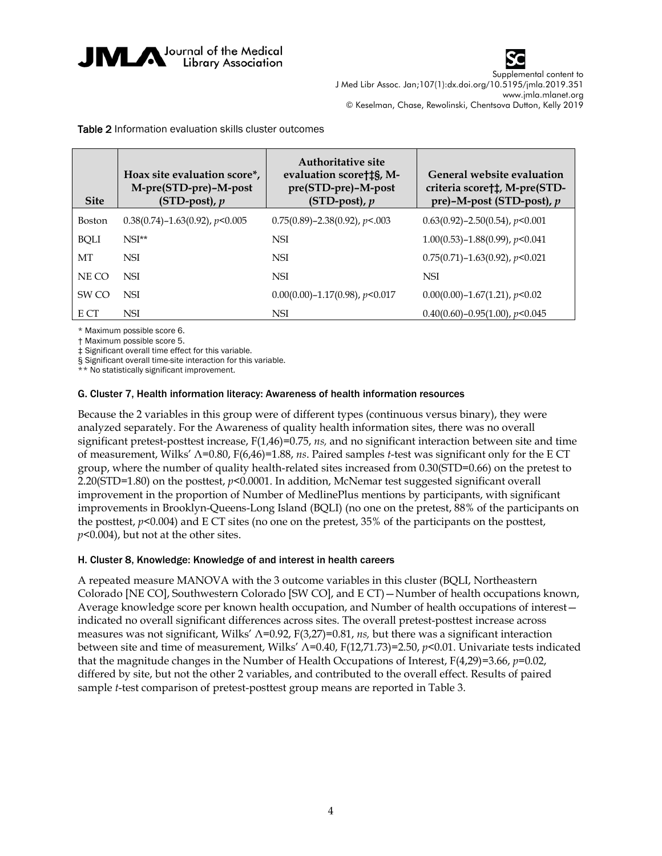



Supplemental content to J Med Libr Assoc. Jan;107(1):dx.doi.org/10.5195/jmla.2019.351 www.jmla.mlanet.org © Keselman, Chase, Rewolinski, Chentsova Dutton, Kelly 2019

| <b>Site</b>      | Hoax site evaluation score*,<br>M-pre(STD-pre)-M-post<br>$(STD-post)$ , p | <b>Authoritative site</b><br>evaluation score†‡§, M-<br>pre(STD-pre)-M-post<br>$(STD-post)$ , p | General website evaluation<br>criteria score†‡, M-pre(STD-<br>pre)-M-post (STD-post), $p$ |
|------------------|---------------------------------------------------------------------------|-------------------------------------------------------------------------------------------------|-------------------------------------------------------------------------------------------|
| <b>Boston</b>    | $0.38(0.74) - 1.63(0.92)$ , $p < 0.005$                                   | $0.75(0.89) - 2.38(0.92)$ , $p < 0.003$                                                         | $0.63(0.92) - 2.50(0.54)$ , $p < 0.001$                                                   |
| <b>BOLI</b>      | $NSI**$                                                                   | <b>NSI</b>                                                                                      | $1.00(0.53) - 1.88(0.99)$ , $p < 0.041$                                                   |
| <b>MT</b>        | <b>NSI</b>                                                                | <b>NSI</b>                                                                                      | $0.75(0.71) - 1.63(0.92)$ , $p < 0.021$                                                   |
| NE CO            | <b>NSI</b>                                                                | <b>NSI</b>                                                                                      | <b>NSI</b>                                                                                |
| SW <sub>CO</sub> | <b>NSI</b>                                                                | $0.00(0.00) - 1.17(0.98)$ , $p < 0.017$                                                         | $0.00(0.00)$ –1.67(1.21), $p<0.02$                                                        |
| E CT             | <b>NSI</b>                                                                | <b>NSI</b>                                                                                      | $0.40(0.60) - 0.95(1.00)$ , $p < 0.045$                                                   |
|                  |                                                                           |                                                                                                 |                                                                                           |

Table 2 Information evaluation skills cluster outcomes

\* Maximum possible score 6.

† Maximum possible score 5.

‡ Significant overall time effect for this variable.

§ Significant overall time-site interaction for this variable.

\*\* No statistically significant improvement.

#### G. Cluster 7, Health information literacy: Awareness of health information resources

Because the 2 variables in this group were of different types (continuous versus binary), they were analyzed separately. For the Awareness of quality health information sites, there was no overall significant pretest-posttest increase, F(1,46)=0.75, *ns,* and no significant interaction between site and time of measurement, Wilks' Λ=0.80, F(6,46)=1.88, *ns*. Paired samples *t*-test was significant only for the E CT group, where the number of quality health-related sites increased from 0.30(STD=0.66) on the pretest to 2.20(STD=1.80) on the posttest, *p*<0.0001. In addition, McNemar test suggested significant overall improvement in the proportion of Number of MedlinePlus mentions by participants, with significant improvements in Brooklyn-Queens-Long Island (BQLI) (no one on the pretest, 88% of the participants on the posttest,  $p<0.004$ ) and E CT sites (no one on the pretest, 35% of the participants on the posttest, *p*<0.004), but not at the other sites.

#### H. Cluster 8, Knowledge: Knowledge of and interest in health careers

A repeated measure MANOVA with the 3 outcome variables in this cluster (BQLI, Northeastern Colorado [NE CO], Southwestern Colorado [SW CO], and E CT)—Number of health occupations known, Average knowledge score per known health occupation, and Number of health occupations of interest indicated no overall significant differences across sites. The overall pretest-posttest increase across measures was not significant, Wilks' Λ=0.92, F(3,27)=0.81, *ns,* but there was a significant interaction between site and time of measurement, Wilks' Λ=0.40, F(12,71.73)=2.50, *p*<0.01. Univariate tests indicated that the magnitude changes in the Number of Health Occupations of Interest,  $F(4,29)=3.66$ ,  $p=0.02$ , differed by site, but not the other 2 variables, and contributed to the overall effect. Results of paired sample *t*-test comparison of pretest-posttest group means are reported in Table 3.